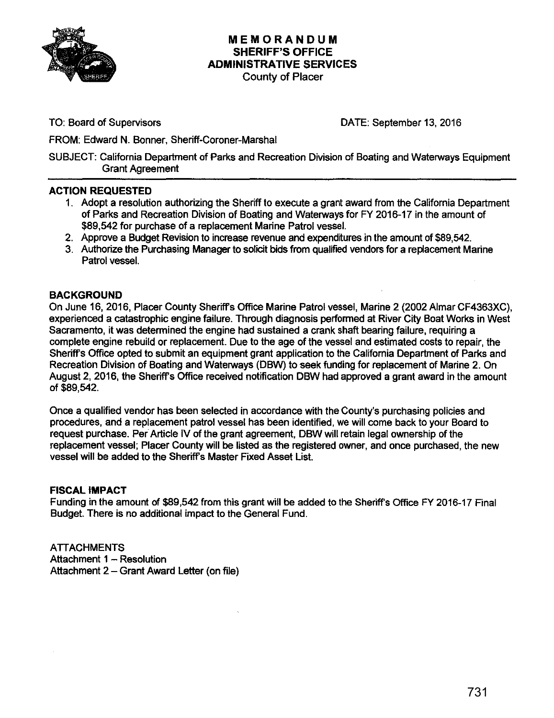

### **MEMORANDUM SHERIFF'S OFFICE ADMINISTRATIVE SERVICES**  County of Placer

TO: Board of Supervisors

DATE: September 13, 2016

FROM: Edward N. Bonner, Sheriff-Coroner-Marshal

SUBJECT: California Department of Parks and Recreation Division of Boating and Waterways Equipment Grant Agreement

## **ACTION REQUESTED**

- 1. Adopt a resolution authorizing the Sheriff to execute a grant award from the California Department of Parks and Recreation Division of Boating and Waterways for FY 2016-17 in the amount of \$89,542 for purchase of a replacement Marine Patrol vessel.
- 2. Approve a Budget Revision to increase revenue and expenditures in the amount of \$89,542.
- 3. Authorize the Purchasing Manager to solicit bids from qualified vendors for a replacement Marine Patrol vessel.

### **BACKGROUND**

On June 16, 2016, Placer County Sheriff's Office Marine Patrol vessel, Marine 2 (2002 Almar CF4363XC), experienced a catastrophic engine failure. Through diagnosis perfornned at River City Boat Works in West Sacramento, it was determined the engine had sustained a crank shaft bearing failure, requiring a complete engine rebuild or replacement. Due to the age of the vessel and estimated costs to repair, the Sheriff's Office opted to submit an equipment grant application to the California Department of Parks and Recreation Division of Boating and Waterways (DBW) to seek funding for replacement of Marine 2. On August 2, 2016, the Sheriff's Office received notification DBW had approved a grant award in the amount of\$89,542.

Once a qualified vendor has been selected in accordance with the County's purchasing policies and procedures, and a replacement patrol vessel has been identified, we will come back to your Board to request purchase. Per Article IV of the grant agreement, DBW will retain legal ownership of the replacement vessel; Placer County will be listed as the registered owner, and once purchased, the new vessel will be added to the Sheriff's Master Fixed Asset List.

### **FISCAL IMPACT**

Funding in the amount of \$89,542 from this grant will be added to the Sheriff's Office FY 2016-17 Final Budget. There is no additional impact to the General Fund.

**ATTACHMENTS** Attachment  $1 -$  Resolution Attachment 2 - Grant Award Letter (on file)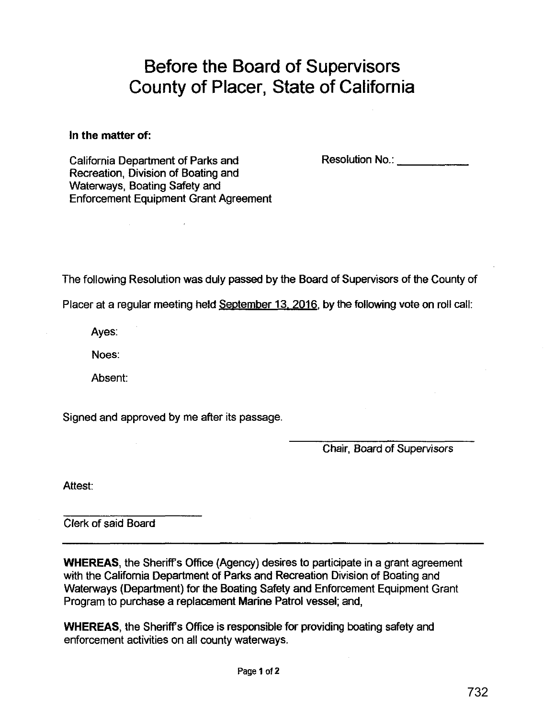# **Before the Board of Supervisors County of Placer, State of California**

**In the matter of:** 

California Department of Parks and Recreation, Division of Boating and Waterways, Boating Safety and Enforcement Equipment Grant Agreement Resolution No.: **Example** 

The following Resolution was duly passed by the Board of Supervisors of the County of

Placer at a regular meeting held September 13, 2016, by the following vote on roll call:

Ayes:

Noes:

Absent:

Signed and approved by me after its passage.

Chair, Board of Supervisors

Attest:

Clerk of said Board

**WHEREAS,** the Sheriff's Office (Agency) desires to participate in a grant agreement with the California Department of Parks and Recreation Division of Boating and Waterways (Department) for the Boating Safety and Enforcement Equipment Grant Program to purchase a replacement Marine Patrol vessel; and,

**WHEREAS,** the Sheriff's Office is responsible for providing boating safety and enforcement activities on all county waterways.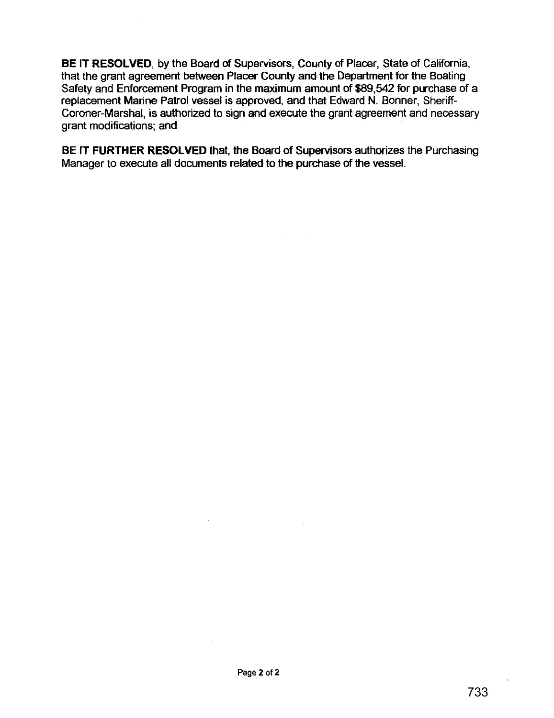**BE IT RESOLVED,** by the Board of Supervisors, County of Placer, State of California, that the grant agreement between Placer County and the Department for the Boating Safety and Enforcement Program in the maximum amount of \$89,542 for purchase of a replacement Marine Patrol vessel is approved, and that Edward N. Bonner, Sheriff-Coroner-Marshal, is authorized to sign and execute the grant agreement and necessary grant modifications; and

**BE IT FURTHER RESOLVED** that, the Board of Supervisors authorizes the Purchasing Manager to execute all documents related to the purchase of the vessel.